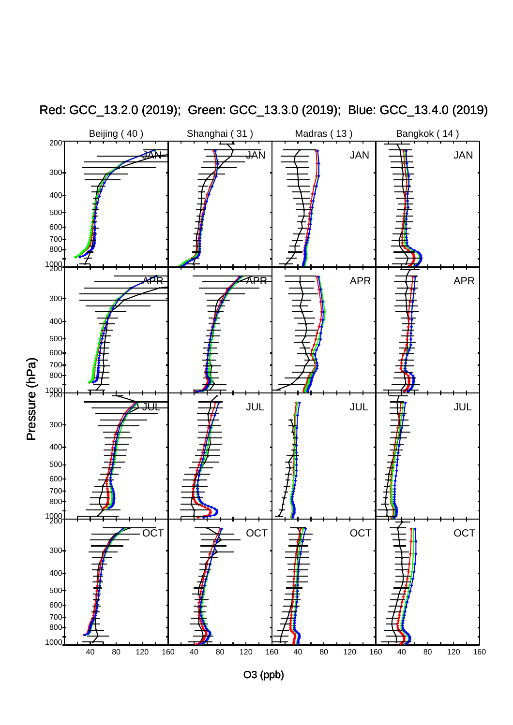

Red: GCC\_13.2.0 (2019); Green: GCC\_13.3.0 (2019); Blue: GCC\_13.4.0 (2019)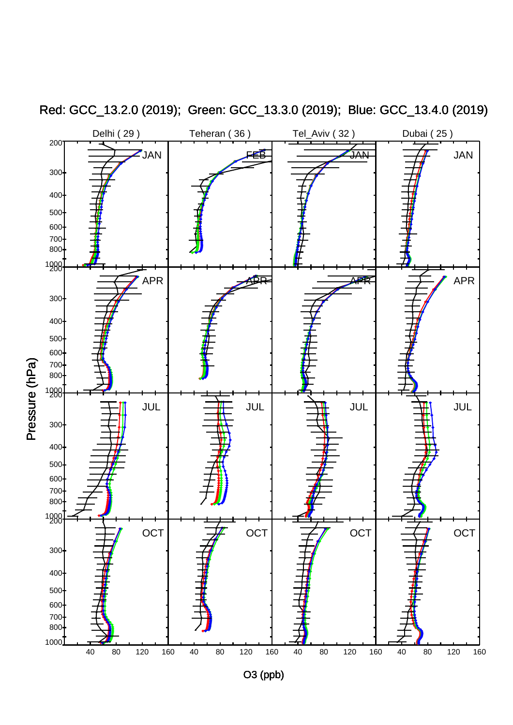

Red: GCC\_13.2.0 (2019); Green: GCC\_13.3.0 (2019); Blue: GCC\_13.4.0 (2019)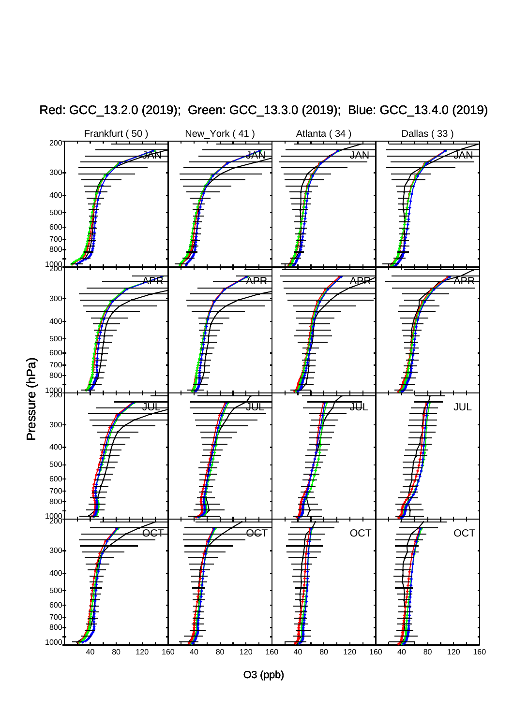

Red: GCC\_13.2.0 (2019); Green: GCC\_13.3.0 (2019); Blue: GCC\_13.4.0 (2019)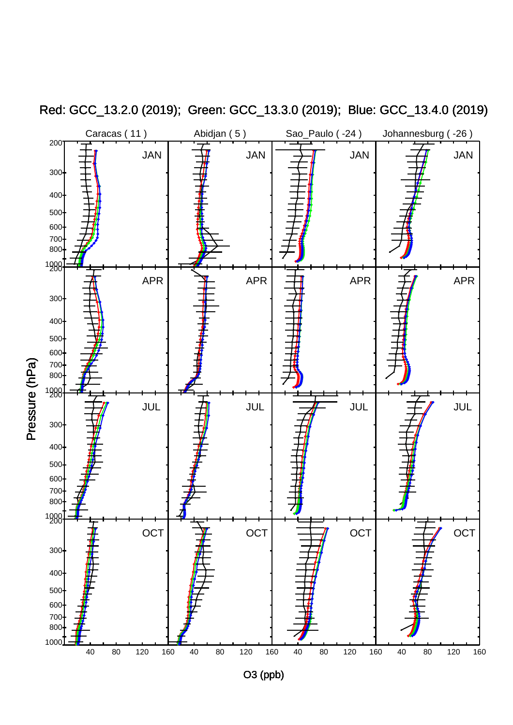

Red: GCC\_13.2.0 (2019); Green: GCC\_13.3.0 (2019); Blue: GCC\_13.4.0 (2019)